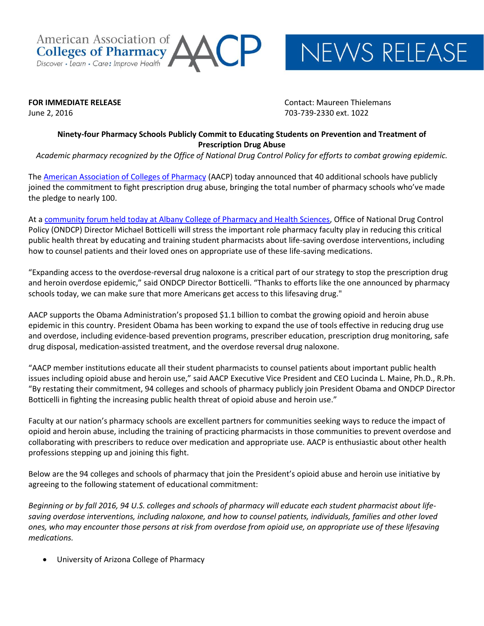American Association of **Colleges of Pharmacy** Discover · Learn · Care: Improve Health

NEWS RELEASE

**FOR IMMEDIATE RELEASE CONTACT IN EXAMPLE 2008 Contact: Maureen Thielemans** June 2, 2016 703-739-2330 ext. 1022

## **Ninety-four Pharmacy Schools Publicly Commit to Educating Students on Prevention and Treatment of Prescription Drug Abuse**

*Academic pharmacy recognized by the Office of National Drug Control Policy for efforts to combat growing epidemic.*

The [American Association of Colleges of Pharmacy](http://www.aacp.org/) (AACP) today announced that 40 additional schools have publicly joined the commitment to fight prescription drug abuse, bringing the total number of pharmacy schools who've made the pledge to nearly 100.

At a [community forum held today at Albany College of Pharmacy and Health Sciences,](http://www.acphs.edu/press/college-host-forum-opioid-epidemic) Office of National Drug Control Policy (ONDCP) Director Michael Botticelli will stress the important role pharmacy faculty play in reducing this critical public health threat by educating and training student pharmacists about life-saving overdose interventions, including how to counsel patients and their loved ones on appropriate use of these life-saving medications.

"Expanding access to the overdose-reversal drug naloxone is a critical part of our strategy to stop the prescription drug and heroin overdose epidemic," said ONDCP Director Botticelli. "Thanks to efforts like the one announced by pharmacy schools today, we can make sure that more Americans get access to this lifesaving drug."

AACP supports the Obama Administration's proposed \$1.1 billion to combat the growing opioid and heroin abuse epidemic in this country. President Obama has been working to expand the use of tools effective in reducing drug use and overdose, including evidence-based prevention programs, prescriber education, prescription drug monitoring, safe drug disposal, medication-assisted treatment, and the overdose reversal drug naloxone.

"AACP member institutions educate all their student pharmacists to counsel patients about important public health issues including opioid abuse and heroin use," said AACP Executive Vice President and CEO Lucinda L. Maine, Ph.D., R.Ph. "By restating their commitment, 94 colleges and schools of pharmacy publicly join President Obama and ONDCP Director Botticelli in fighting the increasing public health threat of opioid abuse and heroin use."

Faculty at our nation's pharmacy schools are excellent partners for communities seeking ways to reduce the impact of opioid and heroin abuse, including the training of practicing pharmacists in those communities to prevent overdose and collaborating with prescribers to reduce over medication and appropriate use. AACP is enthusiastic about other health professions stepping up and joining this fight.

Below are the 94 colleges and schools of pharmacy that join the President's opioid abuse and heroin use initiative by agreeing to the following statement of educational commitment:

*Beginning or by fall 2016, 94 U.S. colleges and schools of pharmacy will educate each student pharmacist about lifesaving overdose interventions, including naloxone, and how to counsel patients, individuals, families and other loved ones, who may encounter those persons at risk from overdose from opioid use, on appropriate use of these lifesaving medications.*

University of Arizona College of Pharmacy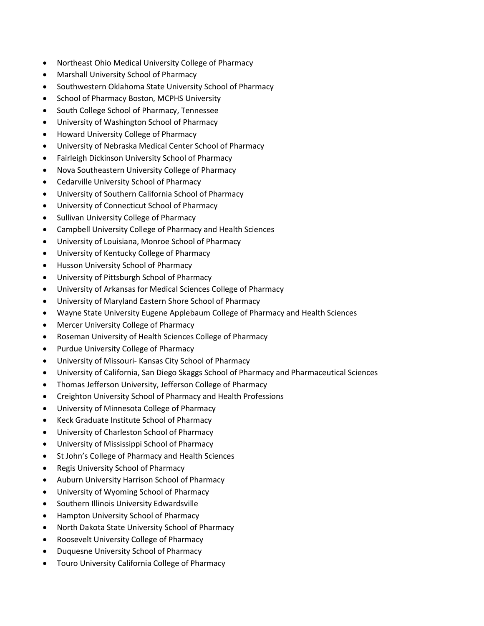- Northeast Ohio Medical University College of Pharmacy
- Marshall University School of Pharmacy
- Southwestern Oklahoma State University School of Pharmacy
- School of Pharmacy Boston, MCPHS University
- South College School of Pharmacy, Tennessee
- University of Washington School of Pharmacy
- Howard University College of Pharmacy
- University of Nebraska Medical Center School of Pharmacy
- Fairleigh Dickinson University School of Pharmacy
- Nova Southeastern University College of Pharmacy
- Cedarville University School of Pharmacy
- University of Southern California School of Pharmacy
- University of Connecticut School of Pharmacy
- Sullivan University College of Pharmacy
- Campbell University College of Pharmacy and Health Sciences
- University of Louisiana, Monroe School of Pharmacy
- University of Kentucky College of Pharmacy
- Husson University School of Pharmacy
- University of Pittsburgh School of Pharmacy
- University of Arkansas for Medical Sciences College of Pharmacy
- University of Maryland Eastern Shore School of Pharmacy
- Wayne State University Eugene Applebaum College of Pharmacy and Health Sciences
- Mercer University College of Pharmacy
- Roseman University of Health Sciences College of Pharmacy
- Purdue University College of Pharmacy
- University of Missouri- Kansas City School of Pharmacy
- University of California, San Diego Skaggs School of Pharmacy and Pharmaceutical Sciences
- Thomas Jefferson University, Jefferson College of Pharmacy
- Creighton University School of Pharmacy and Health Professions
- University of Minnesota College of Pharmacy
- Keck Graduate Institute School of Pharmacy
- University of Charleston School of Pharmacy
- University of Mississippi School of Pharmacy
- St John's College of Pharmacy and Health Sciences
- Regis University School of Pharmacy
- Auburn University Harrison School of Pharmacy
- University of Wyoming School of Pharmacy
- **•** Southern Illinois University Edwardsville
- Hampton University School of Pharmacy
- North Dakota State University School of Pharmacy
- Roosevelt University College of Pharmacy
- Duquesne University School of Pharmacy
- Touro University California College of Pharmacy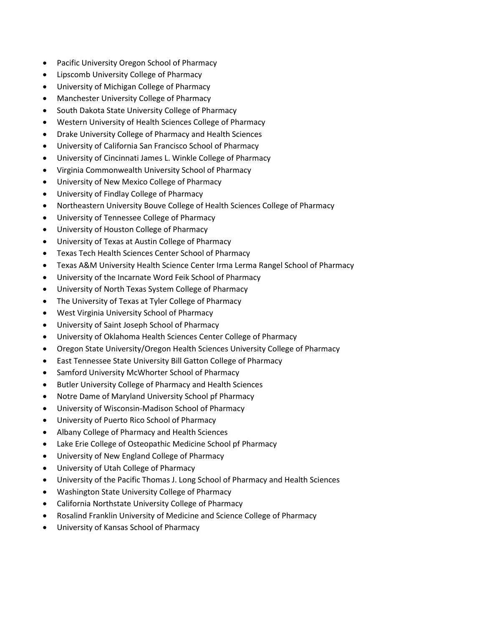- Pacific University Oregon School of Pharmacy
- Lipscomb University College of Pharmacy
- University of Michigan College of Pharmacy
- Manchester University College of Pharmacy
- South Dakota State University College of Pharmacy
- Western University of Health Sciences College of Pharmacy
- Drake University College of Pharmacy and Health Sciences
- University of California San Francisco School of Pharmacy
- University of Cincinnati James L. Winkle College of Pharmacy
- Virginia Commonwealth University School of Pharmacy
- University of New Mexico College of Pharmacy
- University of Findlay College of Pharmacy
- Northeastern University Bouve College of Health Sciences College of Pharmacy
- University of Tennessee College of Pharmacy
- University of Houston College of Pharmacy
- University of Texas at Austin College of Pharmacy
- Texas Tech Health Sciences Center School of Pharmacy
- Texas A&M University Health Science Center Irma Lerma Rangel School of Pharmacy
- University of the Incarnate Word Feik School of Pharmacy
- University of North Texas System College of Pharmacy
- The University of Texas at Tyler College of Pharmacy
- West Virginia University School of Pharmacy
- University of Saint Joseph School of Pharmacy
- University of Oklahoma Health Sciences Center College of Pharmacy
- Oregon State University/Oregon Health Sciences University College of Pharmacy
- East Tennessee State University Bill Gatton College of Pharmacy
- Samford University McWhorter School of Pharmacy
- Butler University College of Pharmacy and Health Sciences
- Notre Dame of Maryland University School pf Pharmacy
- University of Wisconsin-Madison School of Pharmacy
- University of Puerto Rico School of Pharmacy
- Albany College of Pharmacy and Health Sciences
- Lake Erie College of Osteopathic Medicine School pf Pharmacy
- University of New England College of Pharmacy
- University of Utah College of Pharmacy
- University of the Pacific Thomas J. Long School of Pharmacy and Health Sciences
- Washington State University College of Pharmacy
- California Northstate University College of Pharmacy
- Rosalind Franklin University of Medicine and Science College of Pharmacy
- University of Kansas School of Pharmacy